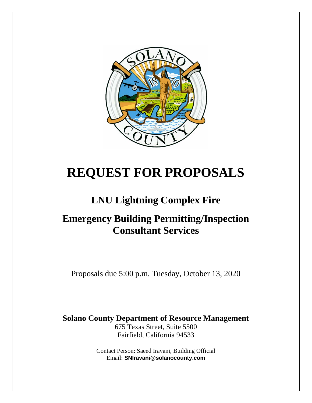

# **REQUEST FOR PROPOSALS**

# **LNU Lightning Complex Fire**

# **Emergency Building Permitting/Inspection Consultant Services**

Proposals due 5:00 p.m. Tuesday, October 13, 2020

**Solano County Department of Resource Management**

675 Texas Street, Suite 5500 Fairfield, California 94533

Contact Person: Saeed Iravani, Building Official Email: **SNIravani@solanocounty.com**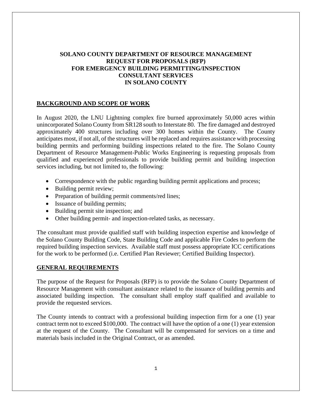# **SOLANO COUNTY DEPARTMENT OF RESOURCE MANAGEMENT REQUEST FOR PROPOSALS (RFP) FOR EMERGENCY BUILDING PERMITTING/INSPECTION CONSULTANT SERVICES IN SOLANO COUNTY**

# **BACKGROUND AND SCOPE OF WORK**

In August 2020, the LNU Lightning complex fire burned approximately 50,000 acres within unincorporated Solano County from SR128 south to Interstate 80. The fire damaged and destroyed approximately 400 structures including over 300 homes within the County. The County anticipates most, if not all, of the structures will be replaced and requires assistance with processing building permits and performing building inspections related to the fire. The Solano County Department of Resource Management-Public Works Engineering is requesting proposals from qualified and experienced professionals to provide building permit and building inspection services including, but not limited to, the following:

- Correspondence with the public regarding building permit applications and process;
- Building permit review;
- Preparation of building permit comments/red lines;
- Issuance of building permits;
- Building permit site inspection; and
- Other building permit- and inspection-related tasks, as necessary.

The consultant must provide qualified staff with building inspection expertise and knowledge of the Solano County Building Code, State Building Code and applicable Fire Codes to perform the required building inspection services. Available staff must possess appropriate ICC certifications for the work to be performed (i.e. Certified Plan Reviewer; Certified Building Inspector).

#### **GENERAL REQUIREMENTS**

The purpose of the Request for Proposals (RFP) is to provide the Solano County Department of Resource Management with consultant assistance related to the issuance of building permits and associated building inspection. The consultant shall employ staff qualified and available to provide the requested services.

The County intends to contract with a professional building inspection firm for a one (1) year contract term not to exceed \$100,000. The contract will have the option of a one (1) year extension at the request of the County. The Consultant will be compensated for services on a time and materials basis included in the Original Contract, or as amended.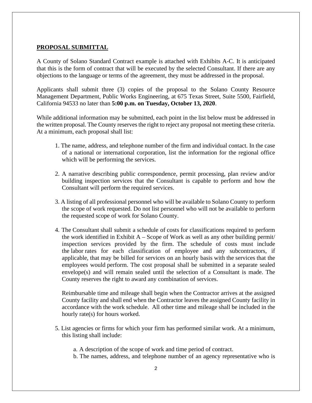### **PROPOSAL SUBMITTAL**

A County of Solano Standard Contract example is attached with Exhibits A-C. It is anticipated that this is the form of contract that will be executed by the selected Consultant. If there are any objections to the language or terms of the agreement, they must be addressed in the proposal.

Applicants shall submit three (3) copies of the proposal to the Solano County Resource Management Department, Public Works Engineering, at 675 Texas Street, Suite 5500, Fairfield, California 94533 no later than **5:00 p.m. on Tuesday, October 13, 2020**.

While additional information may be submitted, each point in the list below must be addressed in the written proposal. The County reserves the right to reject any proposal not meeting these criteria. At a minimum, each proposal shall list:

- 1. The name, address, and telephone number of the firm and individual contact. In the case of a national or international corporation, list the information for the regional office which will be performing the services.
- 2. A narrative describing public correspondence, permit processing, plan review and/or building inspection services that the Consultant is capable to perform and how the Consultant will perform the required services.
- 3. A listing of all professional personnel who will be available to Solano County to perform the scope of work requested. Do not list personnel who will not be available to perform the requested scope of work for Solano County.
- 4. The Consultant shall submit a schedule of costs for classifications required to perform the work identified in Exhibit  $A -$ Scope of Work as well as any other building permit/ inspection services provided by the firm. The schedule of costs must include the labor rates for each classification of employee and any subcontractors, if applicable, that may be billed for services on an hourly basis with the services that the employees would perform. The cost proposal shall be submitted in a separate sealed envelope(s) and will remain sealed until the selection of a Consultant is made. The County reserves the right to award any combination of services.

Reimbursable time and mileage shall begin when the Contractor arrives at the assigned County facility and shall end when the Contractor leaves the assigned County facility in accordance with the work schedule. All other time and mileage shall be included in the hourly rate(s) for hours worked.

- 5. List agencies or firms for which your firm has performed similar work. At a minimum, this listing shall include:
	- a. A description of the scope of work and time period of contract.
	- b. The names, address, and telephone number of an agency representative who is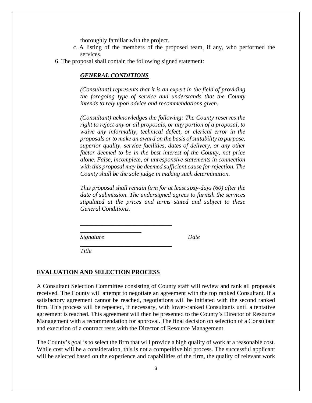thoroughly familiar with the project.

- c. A listing of the members of the proposed team, if any, who performed the services.
- 6. The proposal shall contain the following signed statement:

*\_\_\_\_\_\_\_\_\_\_\_\_\_\_\_\_\_\_\_\_\_\_\_\_\_\_\_\_\_\_* 

*\_\_\_\_\_\_\_\_\_\_\_\_\_\_\_\_\_\_\_\_\_\_\_\_\_\_\_\_\_\_*

*\_\_\_\_\_\_\_\_\_\_\_\_\_\_\_\_\_\_\_\_*

#### *GENERAL CONDITIONS*

*(Consultant) represents that it is an expert in the field of providing the foregoing type of service and understands that the County intends to rely upon advice and recommendations given.*

*(Consultant) acknowledges the following: The County reserves the right to reject any or all proposals, or any portion of a proposal, to waive any informality, technical defect, or clerical error in the proposals or to make an award on the basis of suitability to purpose, superior quality, service facilities, dates of delivery, or any other factor deemed to be in the best interest of the County, not price alone. False, incomplete, or unresponsive statements in connection with this proposal may be deemed sufficient cause for rejection. The County shall be the sole judge in making such determination.*

*This proposal shall remain firm for at least sixty-days (60) after the date of submission. The undersigned agrees to furnish the services stipulated at the prices and terms stated and subject to these General Conditions.*

*Signature Date*

*Title*

#### **EVALUATION AND SELECTION PROCESS**

A Consultant Selection Committee consisting of County staff will review and rank all proposals received. The County will attempt to negotiate an agreement with the top ranked Consultant. If a satisfactory agreement cannot be reached, negotiations will be initiated with the second ranked firm. This process will be repeated, if necessary, with lower-ranked Consultants until a tentative agreement is reached. This agreement will then be presented to the County's Director of Resource Management with a recommendation for approval. The final decision on selection of a Consultant and execution of a contract rests with the Director of Resource Management.

The County's goal is to select the firm that will provide a high quality of work at a reasonable cost. While cost will be a consideration, this is not a competitive bid process. The successful applicant will be selected based on the experience and capabilities of the firm, the quality of relevant work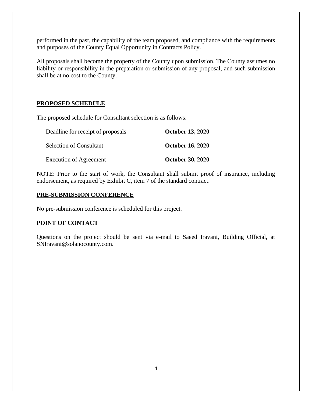performed in the past, the capability of the team proposed, and compliance with the requirements and purposes of the County Equal Opportunity in Contracts Policy.

All proposals shall become the property of the County upon submission. The County assumes no liability or responsibility in the preparation or submission of any proposal, and such submission shall be at no cost to the County.

# **PROPOSED SCHEDULE**

The proposed schedule for Consultant selection is as follows:

| Deadline for receipt of proposals | <b>October 13, 2020</b> |
|-----------------------------------|-------------------------|
| <b>Selection of Consultant</b>    | <b>October 16, 2020</b> |
| <b>Execution of Agreement</b>     | <b>October 30, 2020</b> |

NOTE: Prior to the start of work, the Consultant shall submit proof of insurance, including endorsement, as required by Exhibit C, item 7 of the standard contract.

# **PRE-SUBMISSION CONFERENCE**

No pre-submission conference is scheduled for this project.

# **POINT OF CONTACT**

Questions on the project should be sent via e-mail to Saeed Iravani, Building Official, at SNIravani@solanocounty.com.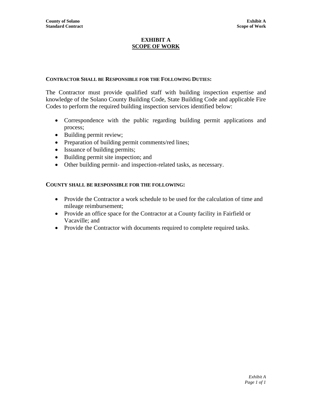#### **EXHIBIT A SCOPE OF WORK**

# **CONTRACTOR SHALL BE RESPONSIBLE FOR THE FOLLOWING DUTIES:**

The Contractor must provide qualified staff with building inspection expertise and knowledge of the Solano County Building Code, State Building Code and applicable Fire Codes to perform the required building inspection services identified below:

- Correspondence with the public regarding building permit applications and process;
- Building permit review;
- Preparation of building permit comments/red lines;
- Issuance of building permits;
- Building permit site inspection; and
- Other building permit- and inspection-related tasks, as necessary.

# **COUNTY SHALL BE RESPONSIBLE FOR THE FOLLOWING:**

- Provide the Contractor a work schedule to be used for the calculation of time and mileage reimbursement;
- Provide an office space for the Contractor at a County facility in Fairfield or Vacaville; and
- Provide the Contractor with documents required to complete required tasks.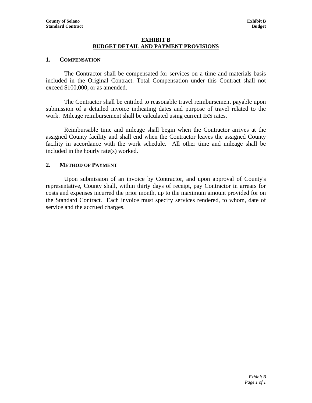#### **EXHIBIT B BUDGET DETAIL AND PAYMENT PROVISIONS**

### **1. COMPENSATION**

The Contractor shall be compensated for services on a time and materials basis included in the Original Contract. Total Compensation under this Contract shall not exceed \$100,000, or as amended.

The Contractor shall be entitled to reasonable travel reimbursement payable upon submission of a detailed invoice indicating dates and purpose of travel related to the work. Mileage reimbursement shall be calculated using current IRS rates.

Reimbursable time and mileage shall begin when the Contractor arrives at the assigned County facility and shall end when the Contractor leaves the assigned County facility in accordance with the work schedule. All other time and mileage shall be included in the hourly rate(s) worked.

### **2. METHOD OF PAYMENT**

Upon submission of an invoice by Contractor, and upon approval of County's representative, County shall, within thirty days of receipt, pay Contractor in arrears for costs and expenses incurred the prior month, up to the maximum amount provided for on the Standard Contract. Each invoice must specify services rendered, to whom, date of service and the accrued charges.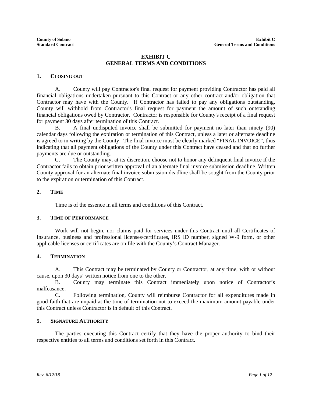#### **EXHIBIT C GENERAL TERMS AND CONDITIONS**

#### **1. CLOSING OUT**

A. County will pay Contractor's final request for payment providing Contractor has paid all financial obligations undertaken pursuant to this Contract or any other contract and/or obligation that Contractor may have with the County. If Contractor has failed to pay any obligations outstanding, County will withhold from Contractor's final request for payment the amount of such outstanding financial obligations owed by Contractor. Contractor is responsible for County's receipt of a final request for payment 30 days after termination of this Contract.

B. A final undisputed invoice shall be submitted for payment no later than ninety (90) calendar days following the expiration or termination of this Contract, unless a later or alternate deadline is agreed to in writing by the County. The final invoice must be clearly marked "FINAL INVOICE", thus indicating that all payment obligations of the County under this Contract have ceased and that no further payments are due or outstanding.

C. The County may, at its discretion, choose not to honor any delinquent final invoice if the Contractor fails to obtain prior written approval of an alternate final invoice submission deadline. Written County approval for an alternate final invoice submission deadline shall be sought from the County prior to the expiration or termination of this Contract.

#### **2. TIME**

Time is of the essence in all terms and conditions of this Contract.

#### **3. TIME OF PERFORMANCE**

Work will not begin, nor claims paid for services under this Contract until all Certificates of Insurance, business and professional licenses/certificates, IRS ID number, signed W-9 form, or other applicable licenses or certificates are on file with the County's Contract Manager.

#### **4. TERMINATION**

A. This Contract may be terminated by County or Contractor, at any time, with or without cause, upon 30 days' written notice from one to the other.

B. County may terminate this Contract immediately upon notice of Contractor's malfeasance.

C. Following termination, County will reimburse Contractor for all expenditures made in good faith that are unpaid at the time of termination not to exceed the maximum amount payable under this Contract unless Contractor is in default of this Contract.

#### **5. SIGNATURE AUTHORITY**

The parties executing this Contract certify that they have the proper authority to bind their respective entities to all terms and conditions set forth in this Contract.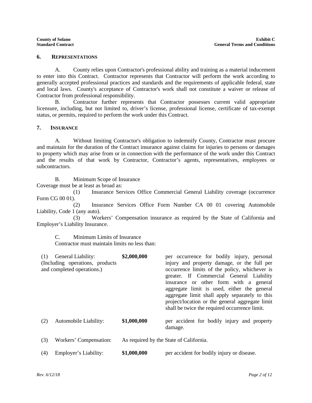#### **6. REPRESENTATIONS**

A. County relies upon Contractor's professional ability and training as a material inducement to enter into this Contract. Contractor represents that Contractor will perform the work according to generally accepted professional practices and standards and the requirements of applicable federal, state and local laws. County's acceptance of Contractor's work shall not constitute a waiver or release of Contractor from professional responsibility.

B. Contractor further represents that Contractor possesses current valid appropriate licensure, including, but not limited to, driver's license, professional license, certificate of tax-exempt status, or permits, required to perform the work under this Contract.

#### **7. INSURANCE**

A. Without limiting Contractor's obligation to indemnify County, Contractor must procure and maintain for the duration of the Contract insurance against claims for injuries to persons or damages to property which may arise from or in connection with the performance of the work under this Contract and the results of that work by Contractor, Contractor's agents, representatives, employees or subcontractors.

B. Minimum Scope of Insurance Coverage must be at least as broad as:

(1) Insurance Services Office Commercial General Liability coverage (occurrence Form CG 00 01).

(2) Insurance Services Office Form Number CA 00 01 covering Automobile Liability, Code 1 (any auto).

(3) Workers' Compensation insurance as required by the State of California and Employer's Liability Insurance.

C. Minimum Limits of Insurance

Contractor must maintain limits no less than:

| (1) | General Liability:<br>(Including operations, products<br>and completed operations.) | \$2,000,000                             | per occurrence for bodily injury, personal<br>injury and property damage, or the full per<br>occurrence limits of the policy, whichever is<br>greater. If Commercial General Liability<br>insurance or other form with a general<br>aggregate limit is used, either the general<br>aggregate limit shall apply separately to this<br>project/location or the general aggregate limit<br>shall be twice the required occurrence limit. |
|-----|-------------------------------------------------------------------------------------|-----------------------------------------|---------------------------------------------------------------------------------------------------------------------------------------------------------------------------------------------------------------------------------------------------------------------------------------------------------------------------------------------------------------------------------------------------------------------------------------|
| (2) | Automobile Liability:                                                               | \$1,000,000                             | per accident for bodily injury and property<br>damage.                                                                                                                                                                                                                                                                                                                                                                                |
| (3) | Workers' Compensation:                                                              | As required by the State of California. |                                                                                                                                                                                                                                                                                                                                                                                                                                       |
| (4) | Employer's Liability:                                                               | \$1,000,000                             | per accident for bodily injury or disease.                                                                                                                                                                                                                                                                                                                                                                                            |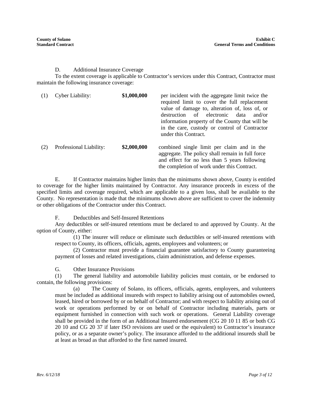#### D. Additional Insurance Coverage

To the extent coverage is applicable to Contractor's services under this Contract, Contractor must maintain the following insurance coverage:

|     | Cyber Liability:        | \$1,000,000 | per incident with the aggregate limit twice the<br>required limit to cover the full replacement<br>value of damage to, alteration of, loss of, or<br>of electronic<br>destruction<br>data<br>and/or<br>information property of the County that will be<br>in the care, custody or control of Contractor<br>under this Contract. |
|-----|-------------------------|-------------|---------------------------------------------------------------------------------------------------------------------------------------------------------------------------------------------------------------------------------------------------------------------------------------------------------------------------------|
| (2) | Professional Liability: | \$2,000,000 | combined single limit per claim and in the<br>aggregate. The policy shall remain in full force<br>and effect for no less than 5 years following<br>the completion of work under this Contract.                                                                                                                                  |

E. If Contractor maintains higher limits than the minimums shown above, County is entitled to coverage for the higher limits maintained by Contractor. Any insurance proceeds in excess of the specified limits and coverage required, which are applicable to a given loss, shall be available to the County. No representation is made that the minimums shown above are sufficient to cover the indemnity or other obligations of the Contractor under this Contract.

F. Deductibles and Self-Insured Retentions

Any deductibles or self-insured retentions must be declared to and approved by County. At the option of County, either:

(1) The insurer will reduce or eliminate such deductibles or self-insured retentions with respect to County, its officers, officials, agents, employees and volunteers; or

(2) Contractor must provide a financial guarantee satisfactory to County guaranteeing payment of losses and related investigations, claim administration, and defense expenses.

G. Other Insurance Provisions

(1) The general liability and automobile liability policies must contain, or be endorsed to contain, the following provisions:

(a) The County of Solano, its officers, officials, agents, employees, and volunteers must be included as additional insureds with respect to liability arising out of automobiles owned, leased, hired or borrowed by or on behalf of Contractor; and with respect to liability arising out of work or operations performed by or on behalf of Contractor including materials, parts or equipment furnished in connection with such work or operations. General Liability coverage shall be provided in the form of an Additional Insured endorsement (CG 20 10 11 85 or both CG 20 10 and CG 20 37 if later ISO revisions are used or the equivalent) to Contractor's insurance policy, or as a separate owner's policy. The insurance afforded to the additional insureds shall be at least as broad as that afforded to the first named insured.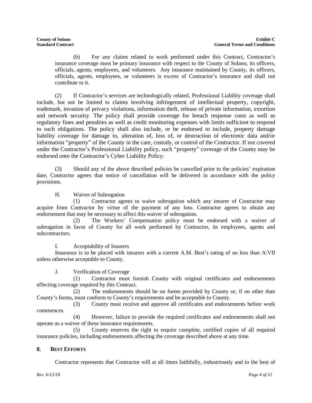(b) For any claims related to work performed under this Contract, Contractor's insurance coverage must be primary insurance with respect to the County of Solano, its officers, officials, agents, employees, and volunteers. Any insurance maintained by County, its officers, officials, agents, employees, or volunteers is excess of Contractor's insurance and shall not contribute to it.

(2) If Contractor's services are technologically related, Professional Liability coverage shall include, but not be limited to claims involving infringement of intellectual property, copyright, trademark, invasion of privacy violations, information theft, release of private information, extortion and network security. The policy shall provide coverage for breach response costs as well as regulatory fines and penalties as well as credit monitoring expenses with limits sufficient to respond to such obligations. The policy shall also include, or be endorsed to include, property damage liability coverage for damage to, alteration of, loss of, or destruction of electronic data and/or information "property" of the County in the care, custody, or control of the Contractor. If not covered under the Contractor's Professional Liability policy, such "property" coverage of the County may be endorsed onto the Contractor's Cyber Liability Policy.

(3) Should any of the above described policies be cancelled prior to the policies' expiration date, Contractor agrees that notice of cancellation will be delivered in accordance with the policy provisions.

H. Waiver of Subrogation

(1) Contractor agrees to waive subrogation which any insurer of Contractor may acquire from Contractor by virtue of the payment of any loss. Contractor agrees to obtain any endorsement that may be necessary to affect this waiver of subrogation.

(2) The Workers' Compensation policy must be endorsed with a waiver of subrogation in favor of County for all work performed by Contractor, its employees, agents and subcontractors.

I. Acceptability of Insurers

Insurance is to be placed with insurers with a current A.M. Best's rating of no less than A:VII unless otherwise acceptable to County.

J. Verification of Coverage

(1) Contractor must furnish County with original certificates and endorsements effecting coverage required by this Contract.

(2) The endorsements should be on forms provided by County or, if on other than County's forms, must conform to County's requirements and be acceptable to County.

(3) County must receive and approve all certificates and endorsements before work commences.

(4) However, failure to provide the required certificates and endorsements shall not operate as a waiver of these insurance requirements.

(5) County reserves the right to require complete, certified copies of all required insurance policies, including endorsements affecting the coverage described above at any time.

# **8. BEST EFFORTS**

Contractor represents that Contractor will at all times faithfully, industriously and to the best of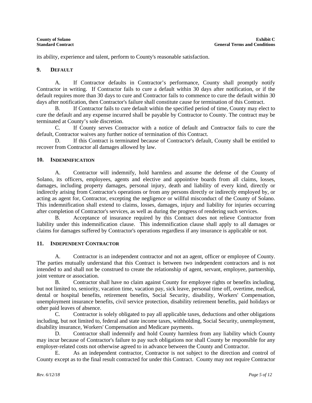its ability, experience and talent, perform to County's reasonable satisfaction.

#### **9. DEFAULT**

A. If Contractor defaults in Contractor's performance, County shall promptly notify Contractor in writing. If Contractor fails to cure a default within 30 days after notification, or if the default requires more than 30 days to cure and Contractor fails to commence to cure the default within 30 days after notification, then Contractor's failure shall constitute cause for termination of this Contract.

B. If Contractor fails to cure default within the specified period of time, County may elect to cure the default and any expense incurred shall be payable by Contractor to County. The contract may be terminated at County's sole discretion.

C. If County serves Contractor with a notice of default and Contractor fails to cure the default, Contractor waives any further notice of termination of this Contract.

D. If this Contract is terminated because of Contractor's default, County shall be entitled to recover from Contractor all damages allowed by law.

#### **10. INDEMNIFICATION**

A. Contractor will indemnify, hold harmless and assume the defense of the County of Solano, its officers, employees, agents and elective and appointive boards from all claims, losses, damages, including property damages, personal injury, death and liability of every kind, directly or indirectly arising from Contractor's operations or from any persons directly or indirectly employed by, or acting as agent for, Contractor, excepting the negligence or willful misconduct of the County of Solano. This indemnification shall extend to claims, losses, damages, injury and liability for injuries occurring after completion of Contractor's services, as well as during the progress of rendering such services.

B. Acceptance of insurance required by this Contract does not relieve Contractor from liability under this indemnification clause. This indemnification clause shall apply to all damages or claims for damages suffered by Contractor's operations regardless if any insurance is applicable or not.

#### **11. INDEPENDENT CONTRACTOR**

A. Contractor is an independent contractor and not an agent, officer or employee of County. The parties mutually understand that this Contract is between two independent contractors and is not intended to and shall not be construed to create the relationship of agent, servant, employee, partnership, joint venture or association.

B. Contractor shall have no claim against County for employee rights or benefits including, but not limited to, seniority, vacation time, vacation pay, sick leave, personal time off, overtime, medical, dental or hospital benefits, retirement benefits, Social Security, disability, Workers' Compensation, unemployment insurance benefits, civil service protection, disability retirement benefits, paid holidays or other paid leaves of absence.

C. Contractor is solely obligated to pay all applicable taxes, deductions and other obligations including, but not limited to, federal and state income taxes, withholding, Social Security, unemployment, disability insurance, Workers' Compensation and Medicare payments.

D. Contractor shall indemnify and hold County harmless from any liability which County may incur because of Contractor's failure to pay such obligations nor shall County be responsible for any employer-related costs not otherwise agreed to in advance between the County and Contractor.

E. As an independent contractor, Contractor is not subject to the direction and control of County except as to the final result contracted for under this Contract. County may not require Contractor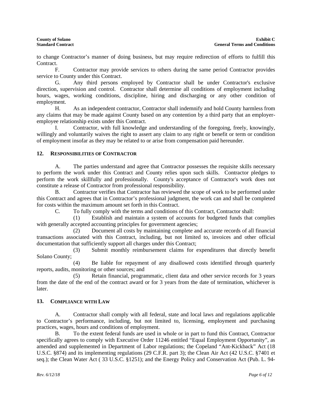to change Contractor's manner of doing business, but may require redirection of efforts to fulfill this Contract.

F. Contractor may provide services to others during the same period Contractor provides service to County under this Contract.

G. Any third persons employed by Contractor shall be under Contractor's exclusive direction, supervision and control. Contractor shall determine all conditions of employment including hours, wages, working conditions, discipline, hiring and discharging or any other condition of employment.

H. As an independent contractor, Contractor shall indemnify and hold County harmless from any claims that may be made against County based on any contention by a third party that an employeremployee relationship exists under this Contract.

I. Contractor, with full knowledge and understanding of the foregoing, freely, knowingly, willingly and voluntarily waives the right to assert any claim to any right or benefit or term or condition of employment insofar as they may be related to or arise from compensation paid hereunder.

#### **12. RESPONSIBILITIES OF CONTRACTOR**

A. The parties understand and agree that Contractor possesses the requisite skills necessary to perform the work under this Contract and County relies upon such skills. Contractor pledges to perform the work skillfully and professionally. County's acceptance of Contractor's work does not constitute a release of Contractor from professional responsibility.

B. Contractor verifies that Contractor has reviewed the scope of work to be performed under this Contract and agrees that in Contractor's professional judgment, the work can and shall be completed for costs within the maximum amount set forth in this Contract.

C. To fully comply with the terms and conditions of this Contract, Contractor shall:

(1) Establish and maintain a system of accounts for budgeted funds that complies with generally accepted accounting principles for government agencies;

(2) Document all costs by maintaining complete and accurate records of all financial transactions associated with this Contract, including, but not limited to, invoices and other official documentation that sufficiently support all charges under this Contract;

(3) Submit monthly reimbursement claims for expenditures that directly benefit Solano County;

(4) Be liable for repayment of any disallowed costs identified through quarterly reports, audits, monitoring or other sources; and

(5) Retain financial, programmatic, client data and other service records for 3 years from the date of the end of the contract award or for 3 years from the date of termination, whichever is later.

#### **13. COMPLIANCE WITH LAW**

A. Contractor shall comply with all federal, state and local laws and regulations applicable to Contractor's performance, including, but not limited to, licensing, employment and purchasing practices, wages, hours and conditions of employment.

B. To the extent federal funds are used in whole or in part to fund this Contract, Contractor specifically agrees to comply with Executive Order 11246 entitled "Equal Employment Opportunity", as amended and supplemented in Department of Labor regulations; the Copeland "Ant-Kickback" Act (18 U.S.C. §874) and its implementing regulations (29 C.F.R. part 3); the Clean Air Act (42 U.S.C. §7401 et seq.); the Clean Water Act ( 33 U.S.C. §1251); and the Energy Policy and Conservation Act (Pub. L. 94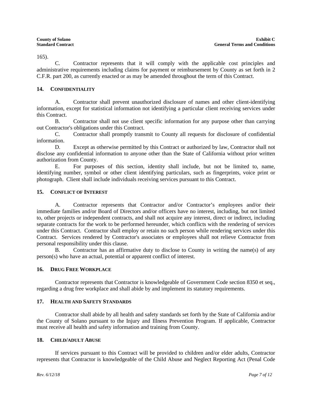165).

C. Contractor represents that it will comply with the applicable cost principles and administrative requirements including claims for payment or reimbursement by County as set forth in 2 C.F.R. part 200, as currently enacted or as may be amended throughout the term of this Contract.

#### **14. CONFIDENTIALITY**

A. Contractor shall prevent unauthorized disclosure of names and other client-identifying information, except for statistical information not identifying a particular client receiving services under this Contract.

B. Contractor shall not use client specific information for any purpose other than carrying out Contractor's obligations under this Contract.

C. Contractor shall promptly transmit to County all requests for disclosure of confidential information.

D. Except as otherwise permitted by this Contract or authorized by law, Contractor shall not disclose any confidential information to anyone other than the State of California without prior written authorization from County.

E. For purposes of this section, identity shall include, but not be limited to, name, identifying number, symbol or other client identifying particulars, such as fingerprints, voice print or photograph. Client shall include individuals receiving services pursuant to this Contract.

# **15. CONFLICT OF INTEREST**

A. Contractor represents that Contractor and/or Contractor's employees and/or their immediate families and/or Board of Directors and/or officers have no interest, including, but not limited to, other projects or independent contracts, and shall not acquire any interest, direct or indirect, including separate contracts for the work to be performed hereunder, which conflicts with the rendering of services under this Contract. Contractor shall employ or retain no such person while rendering services under this Contract. Services rendered by Contractor's associates or employees shall not relieve Contractor from personal responsibility under this clause.

B. Contractor has an affirmative duty to disclose to County in writing the name(s) of any person(s) who have an actual, potential or apparent conflict of interest.

#### **16. DRUG FREE WORKPLACE**

Contractor represents that Contractor is knowledgeable of Government Code section 8350 et seq., regarding a drug free workplace and shall abide by and implement its statutory requirements.

# **17. HEALTH AND SAFETY STANDARDS**

Contractor shall abide by all health and safety standards set forth by the State of California and/or the County of Solano pursuant to the Injury and Illness Prevention Program. If applicable, Contractor must receive all health and safety information and training from County.

#### **18. CHILD/ADULT ABUSE**

If services pursuant to this Contract will be provided to children and/or elder adults, Contractor represents that Contractor is knowledgeable of the Child Abuse and Neglect Reporting Act (Penal Code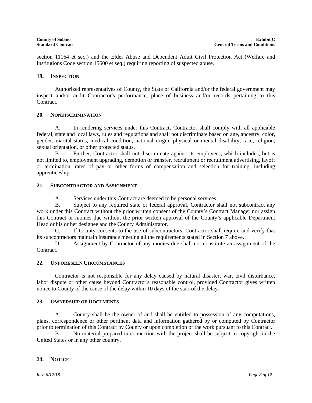section 11164 et seq.) and the Elder Abuse and Dependent Adult Civil Protection Act (Welfare and Institutions Code section 15600 et seq.) requiring reporting of suspected abuse.

#### **19. INSPECTION**

Authorized representatives of County, the State of California and/or the federal government may inspect and/or audit Contractor's performance, place of business and/or records pertaining to this Contract.

#### **20. NONDISCRIMINATION**

A. In rendering services under this Contract, Contractor shall comply with all applicable federal, state and local laws, rules and regulations and shall not discriminate based on age, ancestry, color, gender, marital status, medical condition, national origin, physical or mental disability, race, religion, sexual orientation, or other protected status.

B. Further, Contractor shall not discriminate against its employees, which includes, but is not limited to, employment upgrading, demotion or transfer, recruitment or recruitment advertising, layoff or termination, rates of pay or other forms of compensation and selection for training, including apprenticeship.

#### **21. SUBCONTRACTOR AND ASSIGNMENT**

A. Services under this Contract are deemed to be personal services.

B. Subject to any required state or federal approval, Contractor shall not subcontract any work under this Contract without the prior written consent of the County's Contract Manager nor assign this Contract or monies due without the prior written approval of the County's applicable Department Head or his or her designee and the County Administrator.

C. If County consents to the use of subcontractors, Contractor shall require and verify that its subcontractors maintain insurance meeting all the requirements stated in Section 7 above.

D. Assignment by Contractor of any monies due shall not constitute an assignment of the Contract.

#### **22. UNFORESEEN CIRCUMSTANCES**

Contractor is not responsible for any delay caused by natural disaster, war, civil disturbance, labor dispute or other cause beyond Contractor's reasonable control, provided Contractor gives written notice to County of the cause of the delay within 10 days of the start of the delay.

#### **23. OWNERSHIP OF DOCUMENTS**

A. County shall be the owner of and shall be entitled to possession of any computations, plans, correspondence or other pertinent data and information gathered by or computed by Contractor prior to termination of this Contract by County or upon completion of the work pursuant to this Contract.

B. No material prepared in connection with the project shall be subject to copyright in the United States or in any other country.

#### **24. NOTICE**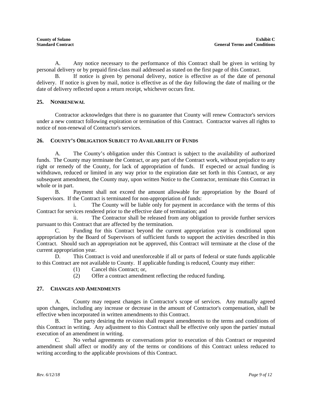A. Any notice necessary to the performance of this Contract shall be given in writing by personal delivery or by prepaid first-class mail addressed as stated on the first page of this Contract.

B. If notice is given by personal delivery, notice is effective as of the date of personal delivery. If notice is given by mail, notice is effective as of the day following the date of mailing or the date of delivery reflected upon a return receipt, whichever occurs first.

#### **25. NONRENEWAL**

Contractor acknowledges that there is no guarantee that County will renew Contractor's services under a new contract following expiration or termination of this Contract. Contractor waives all rights to notice of non-renewal of Contractor's services.

#### **26. COUNTY'S OBLIGATION SUBJECT TO AVAILABILITY OF FUNDS**

A. The County's obligation under this Contract is subject to the availability of authorized funds. The County may terminate the Contract, or any part of the Contract work, without prejudice to any right or remedy of the County, for lack of appropriation of funds. If expected or actual funding is withdrawn, reduced or limited in any way prior to the expiration date set forth in this Contract, or any subsequent amendment, the County may, upon written Notice to the Contractor, terminate this Contract in whole or in part.

B. Payment shall not exceed the amount allowable for appropriation by the Board of Supervisors. If the Contract is terminated for non-appropriation of funds:

i. The County will be liable only for payment in accordance with the terms of this Contract for services rendered prior to the effective date of termination; and

ii. The Contractor shall be released from any obligation to provide further services pursuant to this Contract that are affected by the termination.

C. Funding for this Contract beyond the current appropriation year is conditional upon appropriation by the Board of Supervisors of sufficient funds to support the activities described in this Contract. Should such an appropriation not be approved, this Contract will terminate at the close of the current appropriation year.

D. This Contract is void and unenforceable if all or parts of federal or state funds applicable to this Contract are not available to County. If applicable funding is reduced, County may either:

- (1) Cancel this Contract; or,
- (2) Offer a contract amendment reflecting the reduced funding.

#### **27. CHANGES AND AMENDMENTS**

A. County may request changes in Contractor's scope of services. Any mutually agreed upon changes, including any increase or decrease in the amount of Contractor's compensation, shall be effective when incorporated in written amendments to this Contract.

B. The party desiring the revision shall request amendments to the terms and conditions of this Contract in writing. Any adjustment to this Contract shall be effective only upon the parties' mutual execution of an amendment in writing.

C. No verbal agreements or conversations prior to execution of this Contract or requested amendment shall affect or modify any of the terms or conditions of this Contract unless reduced to writing according to the applicable provisions of this Contract.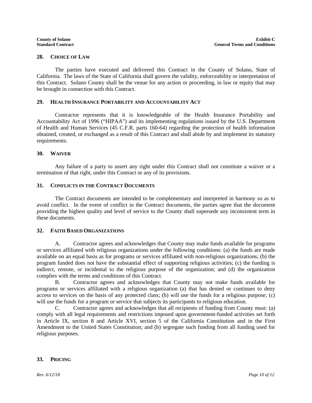#### **28. CHOICE OF LAW**

The parties have executed and delivered this Contract in the County of Solano, State of California. The laws of the State of California shall govern the validity, enforceability or interpretation of this Contract. Solano County shall be the venue for any action or proceeding, in law or equity that may be brought in connection with this Contract.

#### **29. HEALTH INSURANCE PORTABILITY AND ACCOUNTABILITY ACT**

Contractor represents that it is knowledgeable of the Health Insurance Portability and Accountability Act of 1996 ("HIPAA") and its implementing regulations issued by the U.S. Department of Health and Human Services (45 C.F.R. parts 160-64) regarding the protection of health information obtained, created, or exchanged as a result of this Contract and shall abide by and implement its statutory requirements.

#### **30. WAIVER**

Any failure of a party to assert any right under this Contract shall not constitute a waiver or a termination of that right, under this Contract or any of its provisions.

#### **31. CONFLICTS IN THE CONTRACT DOCUMENTS**

The Contract documents are intended to be complementary and interpreted in harmony so as to avoid conflict. In the event of conflict in the Contract documents, the parties agree that the document providing the highest quality and level of service to the County shall supersede any inconsistent term in these documents.

#### **32. FAITH BASED ORGANIZATIONS**

A. Contractor agrees and acknowledges that County may make funds available for programs or services affiliated with religious organizations under the following conditions: (a) the funds are made available on an equal basis as for programs or services affiliated with non-religious organizations; (b) the program funded does not have the substantial effect of supporting religious activities; (c) the funding is indirect, remote, or incidental to the religious purpose of the organization; and (d) the organization complies with the terms and conditions of this Contract.

B. Contractor agrees and acknowledges that County may not make funds available for programs or services affiliated with a religious organization (a) that has denied or continues to deny access to services on the basis of any protected class; (b) will use the funds for a religious purpose; (c) will use the funds for a program or service that subjects its participants to religious education.

C. Contractor agrees and acknowledges that all recipients of funding from County must: (a) comply with all legal requirements and restrictions imposed upon government-funded activities set forth in Article IX, section 8 and Article XVI, section 5 of the California Constitution and in the First Amendment to the United States Constitution; and (b) segregate such funding from all funding used for religious purposes.

#### **33. PRICING**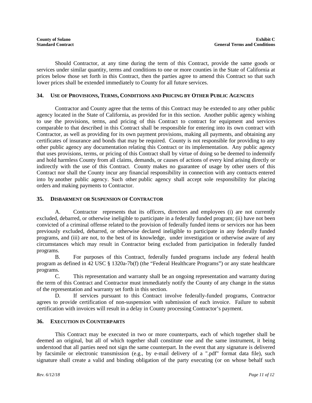Should Contractor, at any time during the term of this Contract, provide the same goods or services under similar quantity, terms and conditions to one or more counties in the State of California at prices below those set forth in this Contract, then the parties agree to amend this Contract so that such lower prices shall be extended immediately to County for all future services.

#### **34. USE OF PROVISIONS, TERMS, CONDITIONS AND PRICING BY OTHER PUBLIC AGENCIES**

Contractor and County agree that the terms of this Contract may be extended to any other public agency located in the State of California, as provided for in this section. Another public agency wishing to use the provisions, terms, and pricing of this Contract to contract for equipment and services comparable to that described in this Contract shall be responsible for entering into its own contract with Contractor, as well as providing for its own payment provisions, making all payments, and obtaining any certificates of insurance and bonds that may be required. County is not responsible for providing to any other public agency any documentation relating this Contract or its implementation. Any public agency that uses provisions, terms, or pricing of this Contract shall by virtue of doing so be deemed to indemnify and hold harmless County from all claims, demands, or causes of actions of every kind arising directly or indirectly with the use of this Contract. County makes no guarantee of usage by other users of this Contract nor shall the County incur any financial responsibility in connection with any contracts entered into by another public agency. Such other public agency shall accept sole responsibility for placing orders and making payments to Contractor.

#### **35. DISBARMENT OR SUSPENSION OF CONTRACTOR**

A. Contractor represents that its officers, directors and employees (i) are not currently excluded, debarred, or otherwise ineligible to participate in a federally funded program; (ii) have not been convicted of a criminal offense related to the provision of federally funded items or services nor has been previously excluded, debarred, or otherwise declared ineligible to participate in any federally funded programs, and (iii) are not, to the best of its knowledge, under investigation or otherwise aware of any circumstances which may result in Contractor being excluded from participation in federally funded programs.

B. For purposes of this Contract, federally funded programs include any federal health program as defined in 42 USC § 1320a-7b(f) (the "Federal Healthcare Programs") or any state healthcare programs.

C. This representation and warranty shall be an ongoing representation and warranty during the term of this Contract and Contractor must immediately notify the County of any change in the status of the representation and warranty set forth in this section.

D. If services pursuant to this Contract involve federally-funded programs, Contractor agrees to provide certification of non-suspension with submission of each invoice. Failure to submit certification with invoices will result in a delay in County processing Contractor's payment.

#### **36. EXECUTION IN COUNTERPARTS**

This Contract may be executed in two or more counterparts, each of which together shall be deemed an original, but all of which together shall constitute one and the same instrument, it being understood that all parties need not sign the same counterpart. In the event that any signature is delivered by facsimile or electronic transmission (e.g., by e-mail delivery of a ".pdf" format data file), such signature shall create a valid and binding obligation of the party executing (or on whose behalf such